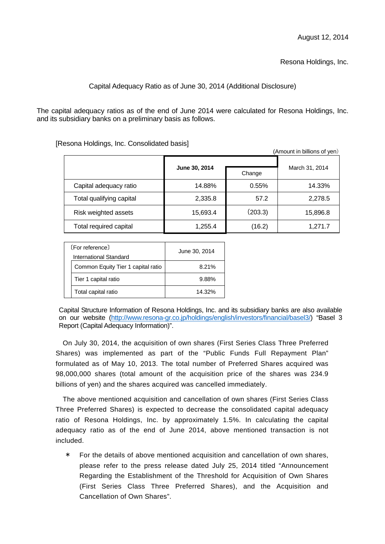Resona Holdings, Inc.

## Capital Adequacy Ratio as of June 30, 2014 (Additional Disclosure)

The capital adequacy ratios as of the end of June 2014 were calculated for Resona Holdings, Inc. and its subsidiary banks on a preliminary basis as follows.

[Resona Holdings, Inc. Consolidated basis]

| (Amount in billions of yen) |                         |         |                |
|-----------------------------|-------------------------|---------|----------------|
|                             | June 30, 2014<br>Change |         |                |
|                             |                         |         | March 31, 2014 |
| Capital adequacy ratio      | 14.88%                  | 0.55%   | 14.33%         |
| Total qualifying capital    | 2,335.8                 | 57.2    | 2,278.5        |
| Risk weighted assets        | 15,693.4                | (203.3) | 15,896.8       |
| Total required capital      | 1,255.4                 | (16.2)  | 1,271.7        |

| (For reference)        |                                    | June 30, 2014 |  |
|------------------------|------------------------------------|---------------|--|
| International Standard |                                    |               |  |
|                        | Common Equity Tier 1 capital ratio | 8.21%         |  |
|                        | Tier 1 capital ratio               | 9.88%         |  |
|                        | Total capital ratio                | 14.32%        |  |

Capital Structure Information of Resona Holdings, Inc. and its subsidiary banks are also available on our website (http://www.resona-gr.co.jp/holdings/english/investors/financial/basel3/) "Basel 3 Report (Capital Adequacy Information)".

On July 30, 2014, the acquisition of own shares (First Series Class Three Preferred Shares) was implemented as part of the "Public Funds Full Repayment Plan" formulated as of May 10, 2013. The total number of Preferred Shares acquired was 98,000,000 shares (total amount of the acquisition price of the shares was 234.9 billions of yen) and the shares acquired was cancelled immediately.

The above mentioned acquisition and cancellation of own shares (First Series Class Three Preferred Shares) is expected to decrease the consolidated capital adequacy ratio of Resona Holdings, Inc. by approximately 1.5%. In calculating the capital adequacy ratio as of the end of June 2014, above mentioned transaction is not included.

For the details of above mentioned acquisition and cancellation of own shares, please refer to the press release dated July 25, 2014 titled "Announcement Regarding the Establishment of the Threshold for Acquisition of Own Shares (First Series Class Three Preferred Shares), and the Acquisition and Cancellation of Own Shares".